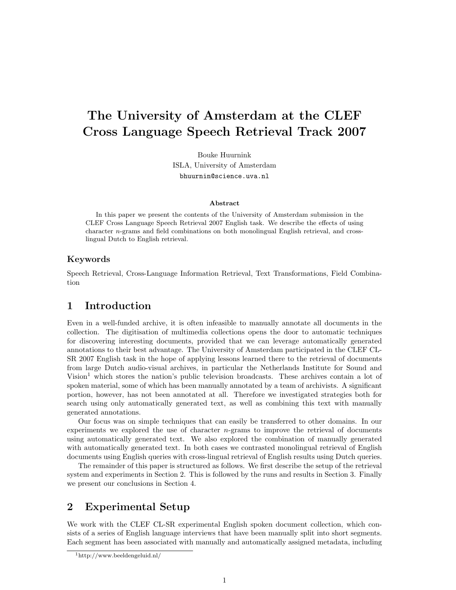# The University of Amsterdam at the CLEF Cross Language Speech Retrieval Track 2007

Bouke Huurnink ISLA, University of Amsterdam bhuurnin@science.uva.nl

#### Abstract

In this paper we present the contents of the University of Amsterdam submission in the CLEF Cross Language Speech Retrieval 2007 English task. We describe the effects of using character n-grams and field combinations on both monolingual English retrieval, and crosslingual Dutch to English retrieval.

#### Keywords

Speech Retrieval, Cross-Language Information Retrieval, Text Transformations, Field Combination

## 1 Introduction

Even in a well-funded archive, it is often infeasible to manually annotate all documents in the collection. The digitisation of multimedia collections opens the door to automatic techniques for discovering interesting documents, provided that we can leverage automatically generated annotations to their best advantage. The University of Amsterdam participated in the CLEF CL-SR 2007 English task in the hope of applying lessons learned there to the retrieval of documents from large Dutch audio-visual archives, in particular the Netherlands Institute for Sound and Vision<sup>1</sup> which stores the nation's public television broadcasts. These archives contain a lot of spoken material, some of which has been manually annotated by a team of archivists. A significant portion, however, has not been annotated at all. Therefore we investigated strategies both for search using only automatically generated text, as well as combining this text with manually generated annotations.

Our focus was on simple techniques that can easily be transferred to other domains. In our experiments we explored the use of character  $n$ -grams to improve the retrieval of documents using automatically generated text. We also explored the combination of manually generated with automatically generated text. In both cases we contrasted monolingual retrieval of English documents using English queries with cross-lingual retrieval of English results using Dutch queries.

The remainder of this paper is structured as follows. We first describe the setup of the retrieval system and experiments in Section 2. This is followed by the runs and results in Section 3. Finally we present our conclusions in Section 4.

## 2 Experimental Setup

We work with the CLEF CL-SR experimental English spoken document collection, which consists of a series of English language interviews that have been manually split into short segments. Each segment has been associated with manually and automatically assigned metadata, including

<sup>1</sup>http://www.beeldengeluid.nl/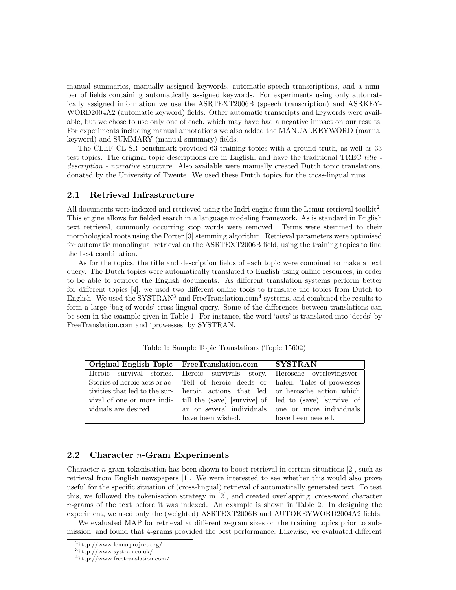manual summaries, manually assigned keywords, automatic speech transcriptions, and a number of fields containing automatically assigned keywords. For experiments using only automatically assigned information we use the ASRTEXT2006B (speech transcription) and ASRKEY-WORD2004A2 (automatic keyword) fields. Other automatic transcripts and keywords were available, but we chose to use only one of each, which may have had a negative impact on our results. For experiments including manual annotations we also added the MANUALKEYWORD (manual keyword) and SUMMARY (manual summary) fields.

The CLEF CL-SR benchmark provided 63 training topics with a ground truth, as well as 33 test topics. The original topic descriptions are in English, and have the traditional TREC title description - narrative structure. Also available were manually created Dutch topic translations, donated by the University of Twente. We used these Dutch topics for the cross-lingual runs.

#### 2.1 Retrieval Infrastructure

All documents were indexed and retrieved using the Indri engine from the Lemur retrieval toolkit<sup>2</sup>. This engine allows for fielded search in a language modeling framework. As is standard in English text retrieval, commonly occurring stop words were removed. Terms were stemmed to their morphological roots using the Porter [3] stemming algorithm. Retrieval parameters were optimised for automatic monolingual retrieval on the ASRTEXT2006B field, using the training topics to find the best combination.

As for the topics, the title and description fields of each topic were combined to make a text query. The Dutch topics were automatically translated to English using online resources, in order to be able to retrieve the English documents. As different translation systems perform better for different topics [4], we used two different online tools to translate the topics from Dutch to English. We used the SYSTRAN<sup>3</sup> and FreeTranslation.com<sup>4</sup> systems, and combined the results to form a large 'bag-of-words' cross-lingual query. Some of the differences between translations can be seen in the example given in Table 1. For instance, the word 'acts' is translated into 'deeds' by FreeTranslation.com and 'prowesses' by SYSTRAN.

| Original English Topic FreeTranslation.com SYSTRAN |                                                                                                   |
|----------------------------------------------------|---------------------------------------------------------------------------------------------------|
|                                                    | Heroic survival stories. Heroic survivals story. Herosche overlevingsver-                         |
|                                                    | Stories of heroic acts or ac- Tell of heroic deeds or halen. Tales of prowesses                   |
|                                                    | tivities that led to the sur- heroic actions that led or herosche action which                    |
|                                                    | vival of one or more indi-<br>till the (save) [survive] of led to (save) [survive] of ]           |
|                                                    | viduals are desired. The annual serveral individuals one or more individuals one or $\frac{1}{2}$ |
| have been wished. have been needed.                |                                                                                                   |

Table 1: Sample Topic Translations (Topic 15602)

#### 2.2 Character  $n$ -Gram Experiments

Character n-gram tokenisation has been shown to boost retrieval in certain situations [2], such as retrieval from English newspapers [1]. We were interested to see whether this would also prove useful for the specific situation of (cross-lingual) retrieval of automatically generated text. To test this, we followed the tokenisation strategy in [2], and created overlapping, cross-word character  $n$ -grams of the text before it was indexed. An example is shown in Table 2. In designing the experiment, we used only the (weighted) ASRTEXT2006B and AUTOKEYWORD2004A2 fields.

We evaluated MAP for retrieval at different *n*-gram sizes on the training topics prior to submission, and found that 4-grams provided the best performance. Likewise, we evaluated different

<sup>2</sup>http://www.lemurproject.org/

<sup>3</sup>http://www.systran.co.uk/

<sup>4</sup>http://www.freetranslation.com/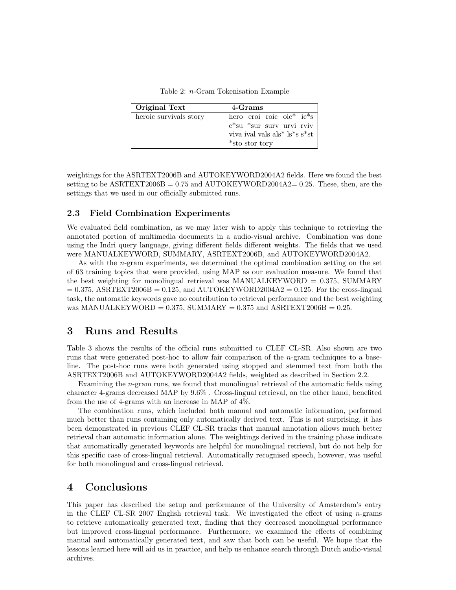Table 2: n-Gram Tokenisation Example

| Original Text          | 4-Grams                                                                                                                             |
|------------------------|-------------------------------------------------------------------------------------------------------------------------------------|
| heroic survivals story | hero eroi roic oic <sup>*</sup> ic <sup>*</sup> s<br>$c$ *su *sur surv urvi rviv<br>viva ival vals als* ls*s s*st<br>*sto stor tory |

weightings for the ASRTEXT2006B and AUTOKEYWORD2004A2 fields. Here we found the best setting to be  $\text{ASRTEXT}2006\text{B} = 0.75$  and  $\text{AUTOKEYWORD}2004\text{A}2 = 0.25$ . These, then, are the settings that we used in our officially submitted runs.

#### 2.3 Field Combination Experiments

We evaluated field combination, as we may later wish to apply this technique to retrieving the annotated portion of multimedia documents in a audio-visual archive. Combination was done using the Indri query language, giving different fields different weights. The fields that we used were MANUALKEYWORD, SUMMARY, ASRTEXT2006B, and AUTOKEYWORD2004A2.

As with the n-gram experiments, we determined the optimal combination setting on the set of 63 training topics that were provided, using MAP as our evaluation measure. We found that the best weighting for monolingual retrieval was MANUALKEYWORD = 0.375, SUMMARY  $= 0.375$ , ASRTEXT2006B  $= 0.125$ , and AUTOKEYWORD2004A2  $= 0.125$ . For the cross-lingual task, the automatic keywords gave no contribution to retrieval performance and the best weighting was MANUALKEYWORD = 0.375, SUMMARY = 0.375 and ASRTEXT2006B = 0.25.

## 3 Runs and Results

Table 3 shows the results of the official runs submitted to CLEF CL-SR. Also shown are two runs that were generated post-hoc to allow fair comparison of the *n*-gram techniques to a baseline. The post-hoc runs were both generated using stopped and stemmed text from both the ASRTEXT2006B and AUTOKEYWORD2004A2 fields, weighted as described in Section 2.2.

Examining the n-gram runs, we found that monolingual retrieval of the automatic fields using character 4-grams decreased MAP by 9.6% . Cross-lingual retrieval, on the other hand, benefited from the use of 4-grams with an increase in MAP of 4%.

The combination runs, which included both manual and automatic information, performed much better than runs containing only automatically derived text. This is not surprising, it has been demonstrated in previous CLEF CL-SR tracks that manual annotation allows much better retrieval than automatic information alone. The weightings derived in the training phase indicate that automatically generated keywords are helpful for monolingual retrieval, but do not help for this specific case of cross-lingual retrieval. Automatically recognised speech, however, was useful for both monolingual and cross-lingual retrieval.

### 4 Conclusions

This paper has described the setup and performance of the University of Amsterdam's entry in the CLEF CL-SR 2007 English retrieval task. We investigated the effect of using  $n$ -grams to retrieve automatically generated text, finding that they decreased monolingual performance but improved cross-lingual performance. Furthermore, we examined the effects of combining manual and automatically generated text, and saw that both can be useful. We hope that the lessons learned here will aid us in practice, and help us enhance search through Dutch audio-visual archives.